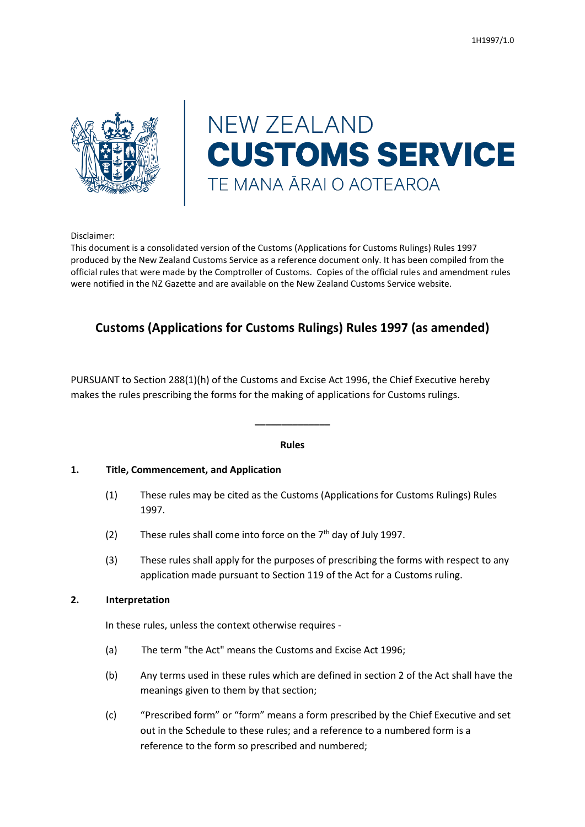

# **NEW ZEALAND CUSTOMS SERVICE** TE MANA ĀRAI O AOTEAROA

Disclaimer:

This document is a consolidated version of the Customs (Applications for Customs Rulings) Rules 1997 produced by the New Zealand Customs Service as a reference document only. It has been compiled from the official rules that were made by the Comptroller of Customs. Copies of the official rules and amendment rules were notified in the NZ Gazette and are available on the New Zealand Customs Service website.

# **Customs (Applications for Customs Rulings) Rules 1997 (as amended)**

PURSUANT to Section 288(1)(h) of the Customs and Excise Act 1996, the Chief Executive hereby makes the rules prescribing the forms for the making of applications for Customs rulings.

#### **Rules**

**\_\_\_\_\_\_\_\_\_\_\_\_\_\_**

#### **1. Title, Commencement, and Application**

- (1) These rules may be cited as the Customs (Applications for Customs Rulings) Rules 1997.
- (2) These rules shall come into force on the  $7<sup>th</sup>$  day of July 1997.
- (3) These rules shall apply for the purposes of prescribing the forms with respect to any application made pursuant to Section 119 of the Act for a Customs ruling.

#### **2. Interpretation**

In these rules, unless the context otherwise requires -

- (a) The term "the Act" means the Customs and Excise Act 1996;
- (b) Any terms used in these rules which are defined in section 2 of the Act shall have the meanings given to them by that section;
- (c) "Prescribed form" or "form" means a form prescribed by the Chief Executive and set out in the Schedule to these rules; and a reference to a numbered form is a reference to the form so prescribed and numbered;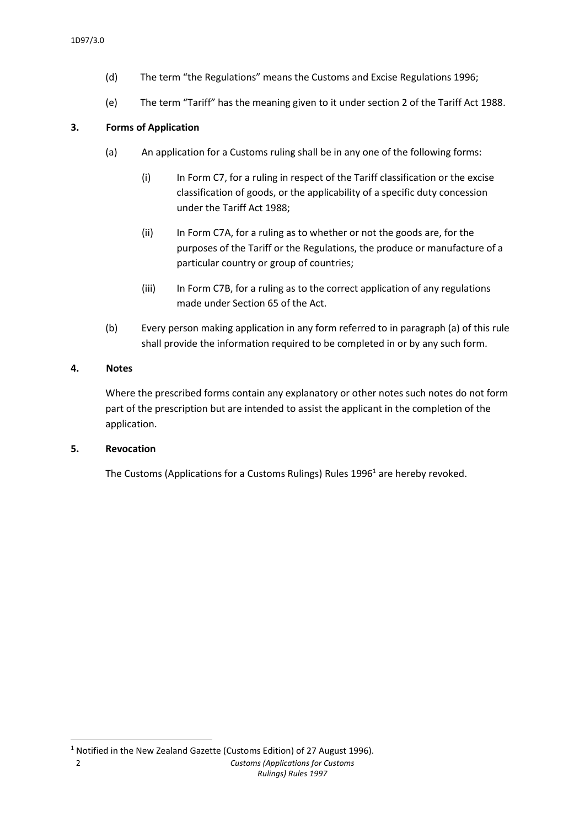- (d) The term "the Regulations" means the Customs and Excise Regulations 1996;
- (e) The term "Tariff" has the meaning given to it under section 2 of the Tariff Act 1988.

#### **3. Forms of Application**

- (a) An application for a Customs ruling shall be in any one of the following forms:
	- (i) In Form C7, for a ruling in respect of the Tariff classification or the excise classification of goods, or the applicability of a specific duty concession under the Tariff Act 1988;
	- (ii) In Form C7A, for a ruling as to whether or not the goods are, for the purposes of the Tariff or the Regulations, the produce or manufacture of a particular country or group of countries;
	- (iii) In Form C7B, for a ruling as to the correct application of any regulations made under Section 65 of the Act.
- (b) Every person making application in any form referred to in paragraph (a) of this rule shall provide the information required to be completed in or by any such form.

#### **4. Notes**

Where the prescribed forms contain any explanatory or other notes such notes do not form part of the prescription but are intended to assist the applicant in the completion of the application.

#### **5. Revocation**

**.** 

The Customs (Applications for a Customs Rulings) Rules 1996<sup>1</sup> are hereby revoked.

<sup>&</sup>lt;sup>1</sup> Notified in the New Zealand Gazette (Customs Edition) of 27 August 1996).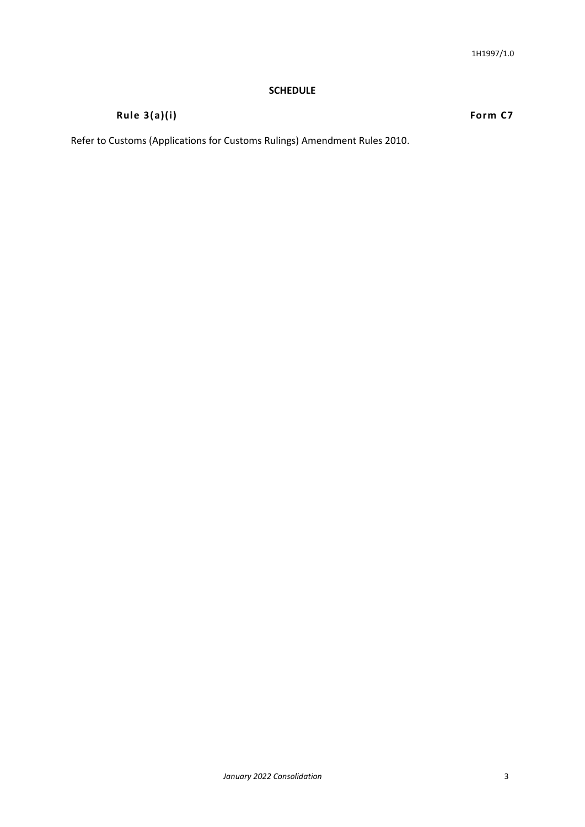#### **SCHEDULE**

## **Rule 3(a)(i) Form C7**

Refer to Customs (Applications for Customs Rulings) Amendment Rules 2010.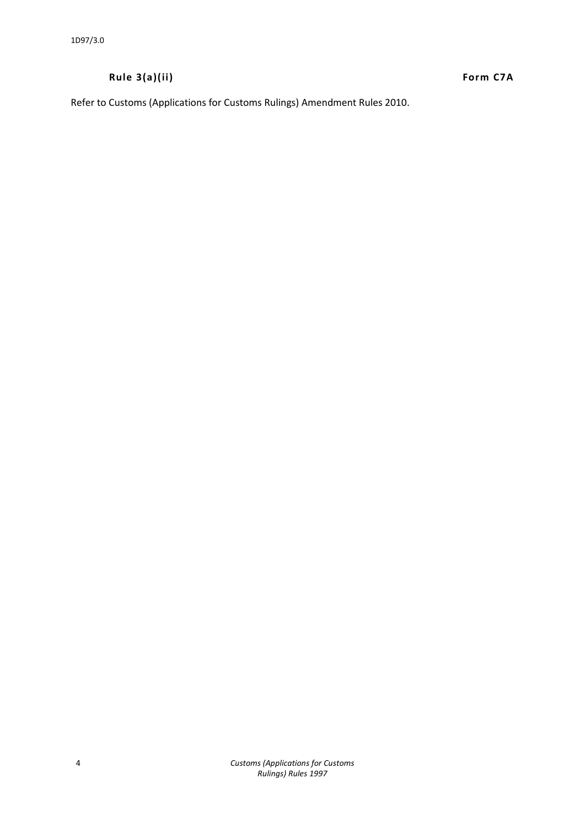## **Rule 3(a)(ii) Form C7A**

Refer to Customs (Applications for Customs Rulings) Amendment Rules 2010.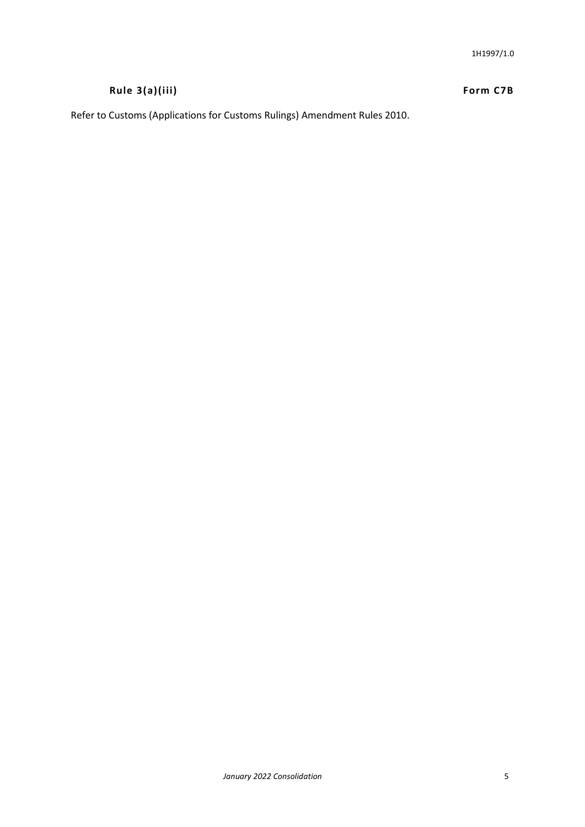# **Rule 3(a)(iii) Form C7B**

Refer to Customs (Applications for Customs Rulings) Amendment Rules 2010.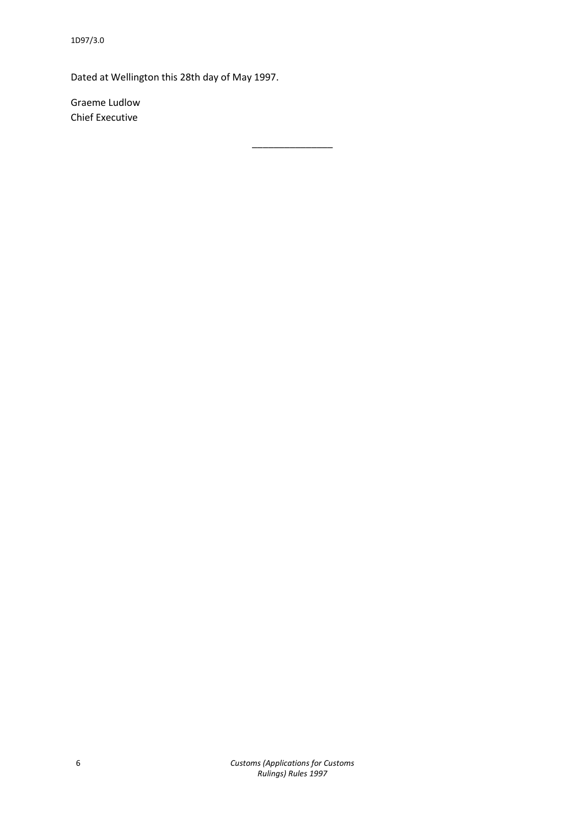Dated at Wellington this 28th day of May 1997.

Graeme Ludlow Chief Executive

\_\_\_\_\_\_\_\_\_\_\_\_\_\_\_